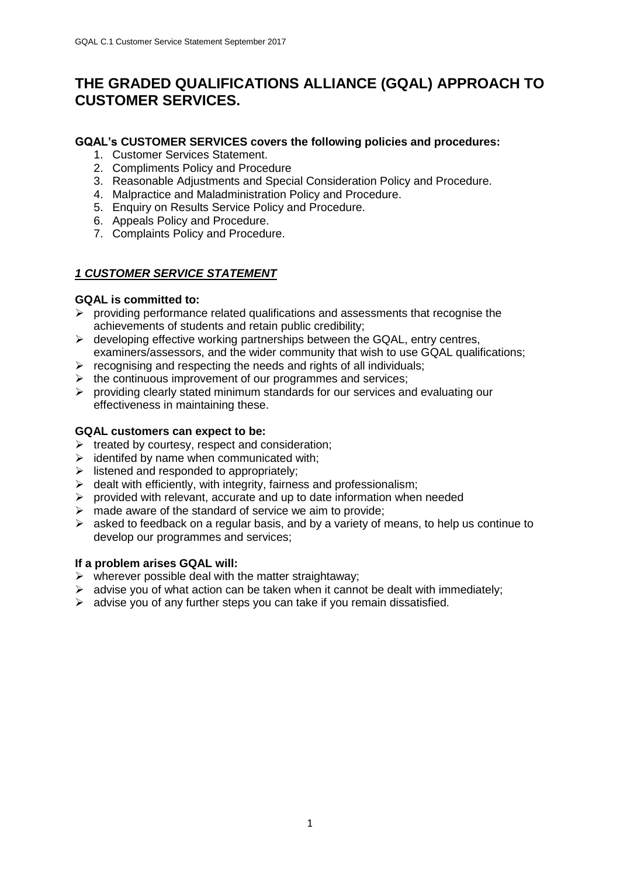# **THE GRADED QUALIFICATIONS ALLIANCE (GQAL) APPROACH TO CUSTOMER SERVICES.**

### **GQAL's CUSTOMER SERVICES covers the following policies and procedures:**

- 1. Customer Services Statement.
- 2. Compliments Policy and Procedure
- 3. Reasonable Adjustments and Special Consideration Policy and Procedure.
- 4. Malpractice and Maladministration Policy and Procedure.
- 5. Enquiry on Results Service Policy and Procedure.
- 6. Appeals Policy and Procedure.
- 7. Complaints Policy and Procedure.

# *1 CUSTOMER SERVICE STATEMENT*

### **GQAL is committed to:**

- $\triangleright$  providing performance related qualifications and assessments that recognise the achievements of students and retain public credibility;
- ➢ developing effective working partnerships between the GQAL, entry centres, examiners/assessors, and the wider community that wish to use GQAL qualifications;
- $\triangleright$  recognising and respecting the needs and rights of all individuals;
- $\triangleright$  the continuous improvement of our programmes and services;
- $\triangleright$  providing clearly stated minimum standards for our services and evaluating our effectiveness in maintaining these.

### **GQAL customers can expect to be:**

- $\triangleright$  treated by courtesy, respect and consideration;
- $\triangleright$  identifed by name when communicated with;
- $\triangleright$  listened and responded to appropriately;
- $\triangleright$  dealt with efficiently, with integrity, fairness and professionalism;
- ➢ provided with relevant, accurate and up to date information when needed
- $\triangleright$  made aware of the standard of service we aim to provide;
- $\triangleright$  asked to feedback on a regular basis, and by a variety of means, to help us continue to develop our programmes and services;

### **If a problem arises GQAL will:**

- $\triangleright$  wherever possible deal with the matter straightaway;
- $\triangleright$  advise you of what action can be taken when it cannot be dealt with immediately;
- ➢ advise you of any further steps you can take if you remain dissatisfied.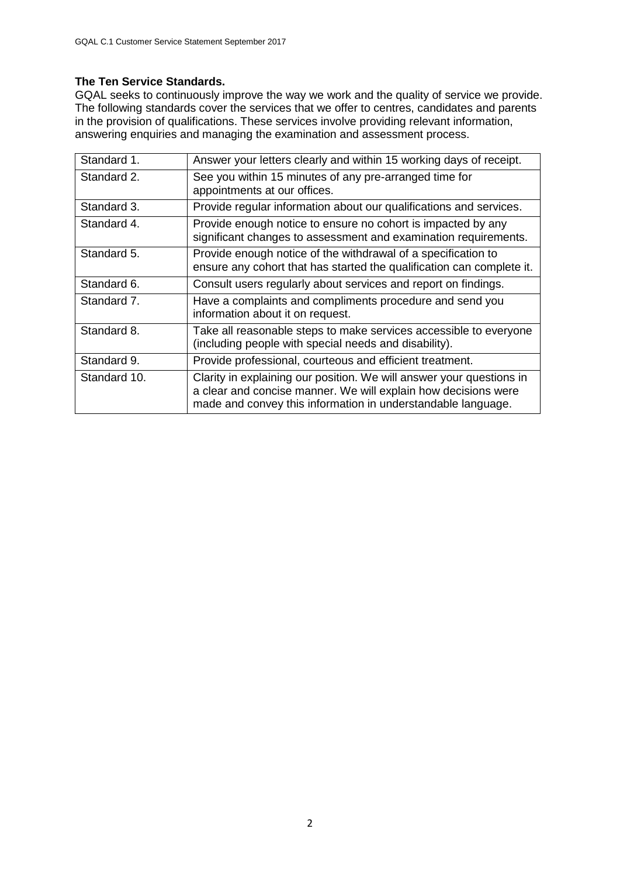# **The Ten Service Standards.**

GQAL seeks to continuously improve the way we work and the quality of service we provide. The following standards cover the services that we offer to centres, candidates and parents in the provision of qualifications. These services involve providing relevant information, answering enquiries and managing the examination and assessment process.

| Standard 1.  | Answer your letters clearly and within 15 working days of receipt.                                                                                                                                     |  |
|--------------|--------------------------------------------------------------------------------------------------------------------------------------------------------------------------------------------------------|--|
| Standard 2.  | See you within 15 minutes of any pre-arranged time for<br>appointments at our offices.                                                                                                                 |  |
|              |                                                                                                                                                                                                        |  |
| Standard 3.  | Provide regular information about our qualifications and services.                                                                                                                                     |  |
| Standard 4.  | Provide enough notice to ensure no cohort is impacted by any<br>significant changes to assessment and examination requirements.                                                                        |  |
| Standard 5.  | Provide enough notice of the withdrawal of a specification to<br>ensure any cohort that has started the qualification can complete it.                                                                 |  |
| Standard 6.  | Consult users regularly about services and report on findings.                                                                                                                                         |  |
| Standard 7.  | Have a complaints and compliments procedure and send you<br>information about it on request.                                                                                                           |  |
| Standard 8.  | Take all reasonable steps to make services accessible to everyone<br>(including people with special needs and disability).                                                                             |  |
| Standard 9.  | Provide professional, courteous and efficient treatment.                                                                                                                                               |  |
| Standard 10. | Clarity in explaining our position. We will answer your questions in<br>a clear and concise manner. We will explain how decisions were<br>made and convey this information in understandable language. |  |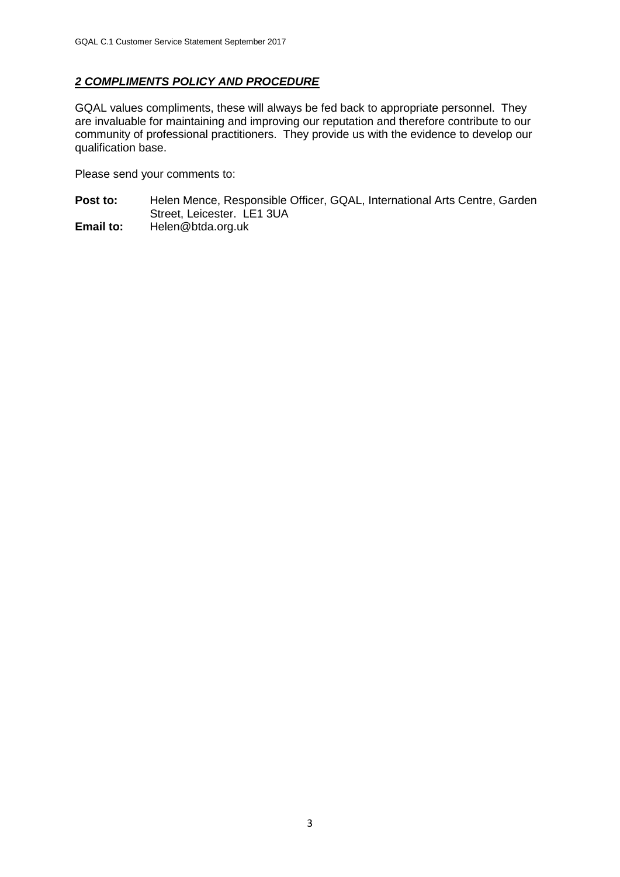# *2 COMPLIMENTS POLICY AND PROCEDURE*

GQAL values compliments, these will always be fed back to appropriate personnel. They are invaluable for maintaining and improving our reputation and therefore contribute to our community of professional practitioners. They provide us with the evidence to develop our qualification base.

Please send your comments to:

- Post to: Helen Mence, Responsible Officer, GQAL, International Arts Centre, Garden Street, Leicester. LE1 3UA
- **Email to:** Helen@btda.org.uk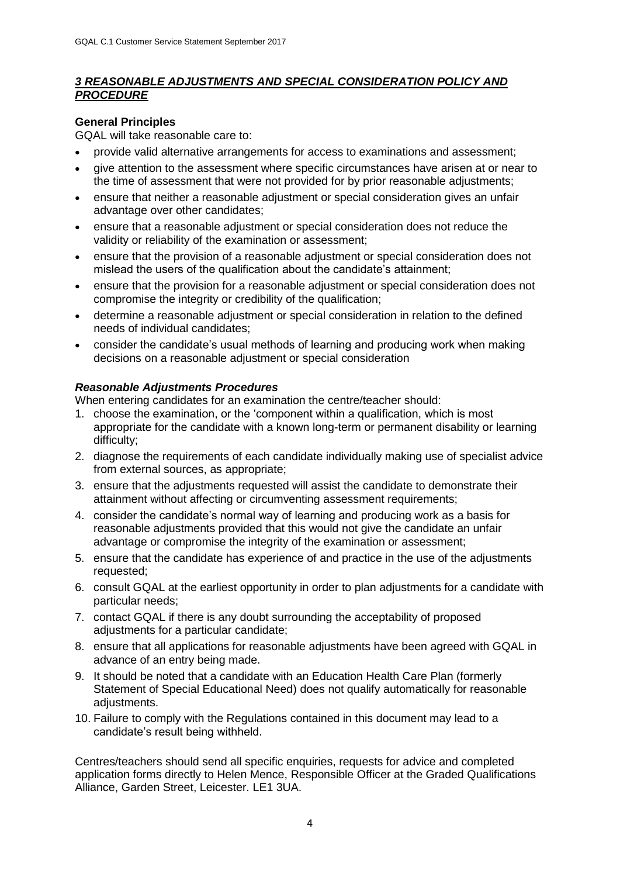### *3 REASONABLE ADJUSTMENTS AND SPECIAL CONSIDERATION POLICY AND PROCEDURE*

# **General Principles**

GQAL will take reasonable care to:

- provide valid alternative arrangements for access to examinations and assessment;
- give attention to the assessment where specific circumstances have arisen at or near to the time of assessment that were not provided for by prior reasonable adjustments;
- ensure that neither a reasonable adjustment or special consideration gives an unfair advantage over other candidates;
- ensure that a reasonable adjustment or special consideration does not reduce the validity or reliability of the examination or assessment;
- ensure that the provision of a reasonable adjustment or special consideration does not mislead the users of the qualification about the candidate's attainment;
- ensure that the provision for a reasonable adjustment or special consideration does not compromise the integrity or credibility of the qualification;
- determine a reasonable adjustment or special consideration in relation to the defined needs of individual candidates;
- consider the candidate's usual methods of learning and producing work when making decisions on a reasonable adjustment or special consideration

### *Reasonable Adjustments Procedures*

When entering candidates for an examination the centre/teacher should:

- 1. choose the examination, or the 'component within a qualification, which is most appropriate for the candidate with a known long-term or permanent disability or learning difficulty;
- 2. diagnose the requirements of each candidate individually making use of specialist advice from external sources, as appropriate;
- 3. ensure that the adjustments requested will assist the candidate to demonstrate their attainment without affecting or circumventing assessment requirements;
- 4. consider the candidate's normal way of learning and producing work as a basis for reasonable adjustments provided that this would not give the candidate an unfair advantage or compromise the integrity of the examination or assessment;
- 5. ensure that the candidate has experience of and practice in the use of the adjustments requested;
- 6. consult GQAL at the earliest opportunity in order to plan adjustments for a candidate with particular needs;
- 7. contact GQAL if there is any doubt surrounding the acceptability of proposed adjustments for a particular candidate;
- 8. ensure that all applications for reasonable adjustments have been agreed with GQAL in advance of an entry being made.
- 9. It should be noted that a candidate with an Education Health Care Plan (formerly Statement of Special Educational Need) does not qualify automatically for reasonable adjustments.
- 10. Failure to comply with the Regulations contained in this document may lead to a candidate's result being withheld.

Centres/teachers should send all specific enquiries, requests for advice and completed application forms directly to Helen Mence, Responsible Officer at the Graded Qualifications Alliance, Garden Street, Leicester. LE1 3UA.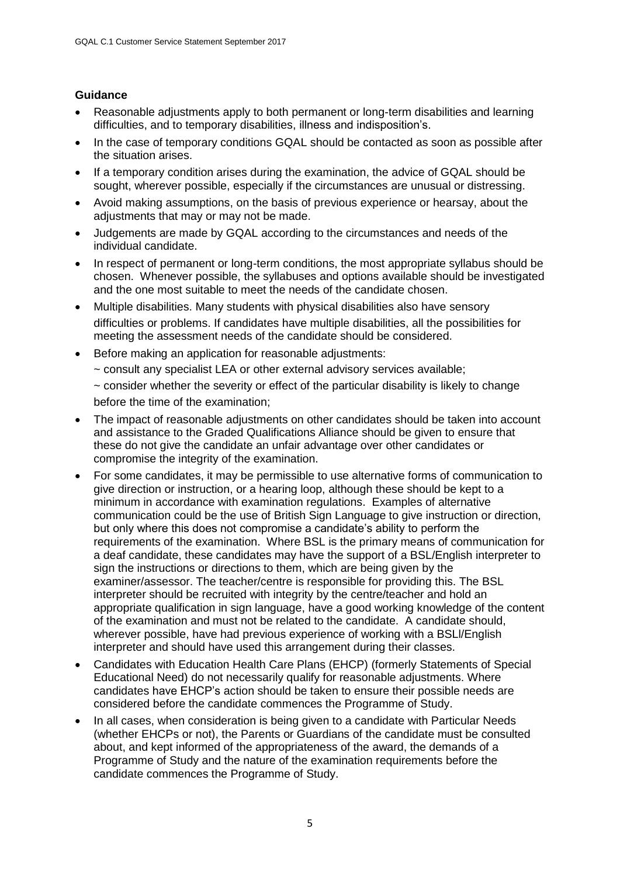### **Guidance**

- Reasonable adjustments apply to both permanent or long-term disabilities and learning difficulties, and to temporary disabilities, illness and indisposition's.
- In the case of temporary conditions GQAL should be contacted as soon as possible after the situation arises.
- If a temporary condition arises during the examination, the advice of GQAL should be sought, wherever possible, especially if the circumstances are unusual or distressing.
- Avoid making assumptions, on the basis of previous experience or hearsay, about the adjustments that may or may not be made.
- Judgements are made by GQAL according to the circumstances and needs of the individual candidate.
- In respect of permanent or long-term conditions, the most appropriate syllabus should be chosen. Whenever possible, the syllabuses and options available should be investigated and the one most suitable to meet the needs of the candidate chosen.
- Multiple disabilities. Many students with physical disabilities also have sensory difficulties or problems. If candidates have multiple disabilities, all the possibilities for meeting the assessment needs of the candidate should be considered.
- Before making an application for reasonable adjustments:
	- ~ consult any specialist LEA or other external advisory services available;
	- $\sim$  consider whether the severity or effect of the particular disability is likely to change before the time of the examination;
- The impact of reasonable adjustments on other candidates should be taken into account and assistance to the Graded Qualifications Alliance should be given to ensure that these do not give the candidate an unfair advantage over other candidates or compromise the integrity of the examination.
- For some candidates, it may be permissible to use alternative forms of communication to give direction or instruction, or a hearing loop, although these should be kept to a minimum in accordance with examination regulations. Examples of alternative communication could be the use of British Sign Language to give instruction or direction, but only where this does not compromise a candidate's ability to perform the requirements of the examination. Where BSL is the primary means of communication for a deaf candidate, these candidates may have the support of a BSL/English interpreter to sign the instructions or directions to them, which are being given by the examiner/assessor. The teacher/centre is responsible for providing this. The BSL interpreter should be recruited with integrity by the centre/teacher and hold an appropriate qualification in sign language, have a good working knowledge of the content of the examination and must not be related to the candidate. A candidate should, wherever possible, have had previous experience of working with a BSLl/English interpreter and should have used this arrangement during their classes.
- Candidates with Education Health Care Plans (EHCP) (formerly Statements of Special Educational Need) do not necessarily qualify for reasonable adjustments. Where candidates have EHCP's action should be taken to ensure their possible needs are considered before the candidate commences the Programme of Study.
- In all cases, when consideration is being given to a candidate with Particular Needs (whether EHCPs or not), the Parents or Guardians of the candidate must be consulted about, and kept informed of the appropriateness of the award, the demands of a Programme of Study and the nature of the examination requirements before the candidate commences the Programme of Study.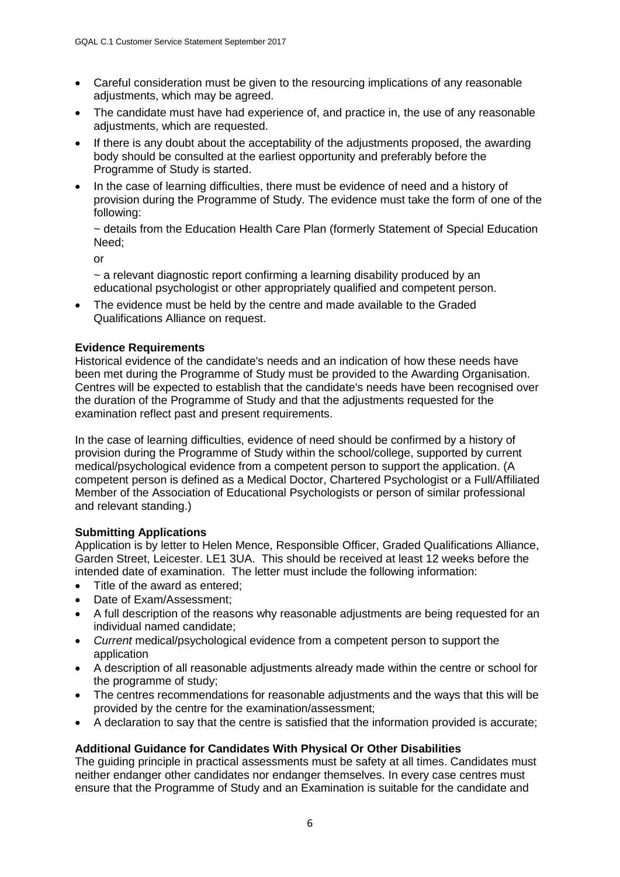- Careful consideration must be given to the resourcing implications of any reasonable adjustments, which may be agreed.
- The candidate must have had experience of, and practice in, the use of any reasonable adjustments, which are requested.
- If there is any doubt about the acceptability of the adjustments proposed, the awarding body should be consulted at the earliest opportunity and preferably before the Programme of Study is started.
- In the case of learning difficulties, there must be evidence of need and a history of provision during the Programme of Study. The evidence must take the form of one of the following:

~ details from the Education Health Care Plan (formerly Statement of Special Education Need;

or

 $\sim$  a relevant diagnostic report confirming a learning disability produced by an educational psychologist or other appropriately qualified and competent person.

• The evidence must be held by the centre and made available to the Graded Qualifications Alliance on request.

### **Evidence Requirements**

Historical evidence of the candidate's needs and an indication of how these needs have been met during the Programme of Study must be provided to the Awarding Organisation. Centres will be expected to establish that the candidate's needs have been recognised over the duration of the Programme of Study and that the adjustments requested for the examination reflect past and present requirements.

In the case of learning difficulties, evidence of need should be confirmed by a history of provision during the Programme of Study within the school/college, supported by current medical/psychological evidence from a competent person to support the application. (A competent person is defined as a Medical Doctor, Chartered Psychologist or a Full/Affiliated Member of the Association of Educational Psychologists or person of similar professional and relevant standing.)

### **Submitting Applications**

Application is by letter to Helen Mence, Responsible Officer, Graded Qualifications Alliance, Garden Street, Leicester. LE1 3UA. This should be received at least 12 weeks before the intended date of examination. The letter must include the following information:

- Title of the award as entered:
- Date of Exam/Assessment:
- A full description of the reasons why reasonable adjustments are being requested for an individual named candidate;
- *Current* medical/psychological evidence from a competent person to support the application
- A description of all reasonable adjustments already made within the centre or school for the programme of study;
- The centres recommendations for reasonable adjustments and the ways that this will be provided by the centre for the examination/assessment;
- A declaration to say that the centre is satisfied that the information provided is accurate;

### **Additional Guidance for Candidates With Physical Or Other Disabilities**

The guiding principle in practical assessments must be safety at all times. Candidates must neither endanger other candidates nor endanger themselves. In every case centres must ensure that the Programme of Study and an Examination is suitable for the candidate and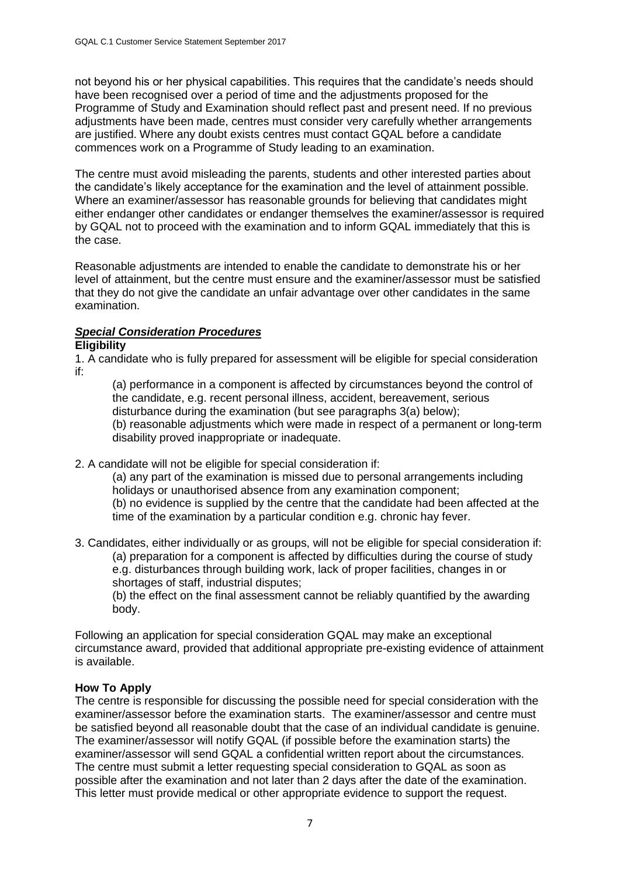not beyond his or her physical capabilities. This requires that the candidate's needs should have been recognised over a period of time and the adjustments proposed for the Programme of Study and Examination should reflect past and present need. If no previous adjustments have been made, centres must consider very carefully whether arrangements are justified. Where any doubt exists centres must contact GQAL before a candidate commences work on a Programme of Study leading to an examination.

The centre must avoid misleading the parents, students and other interested parties about the candidate's likely acceptance for the examination and the level of attainment possible. Where an examiner/assessor has reasonable grounds for believing that candidates might either endanger other candidates or endanger themselves the examiner/assessor is required by GQAL not to proceed with the examination and to inform GQAL immediately that this is the case.

Reasonable adjustments are intended to enable the candidate to demonstrate his or her level of attainment, but the centre must ensure and the examiner/assessor must be satisfied that they do not give the candidate an unfair advantage over other candidates in the same examination.

# *Special Consideration Procedures*

### **Eligibility**

1. A candidate who is fully prepared for assessment will be eligible for special consideration if:

(a) performance in a component is affected by circumstances beyond the control of the candidate, e.g. recent personal illness, accident, bereavement, serious disturbance during the examination (but see paragraphs 3(a) below); (b) reasonable adjustments which were made in respect of a permanent or long-term disability proved inappropriate or inadequate.

2. A candidate will not be eligible for special consideration if:

(a) any part of the examination is missed due to personal arrangements including holidays or unauthorised absence from any examination component; (b) no evidence is supplied by the centre that the candidate had been affected at the time of the examination by a particular condition e.g. chronic hay fever.

3. Candidates, either individually or as groups, will not be eligible for special consideration if: (a) preparation for a component is affected by difficulties during the course of study e.g. disturbances through building work, lack of proper facilities, changes in or shortages of staff, industrial disputes;

(b) the effect on the final assessment cannot be reliably quantified by the awarding body.

Following an application for special consideration GQAL may make an exceptional circumstance award, provided that additional appropriate pre-existing evidence of attainment is available.

### **How To Apply**

The centre is responsible for discussing the possible need for special consideration with the examiner/assessor before the examination starts. The examiner/assessor and centre must be satisfied beyond all reasonable doubt that the case of an individual candidate is genuine. The examiner/assessor will notify GQAL (if possible before the examination starts) the examiner/assessor will send GQAL a confidential written report about the circumstances. The centre must submit a letter requesting special consideration to GQAL as soon as possible after the examination and not later than 2 days after the date of the examination. This letter must provide medical or other appropriate evidence to support the request.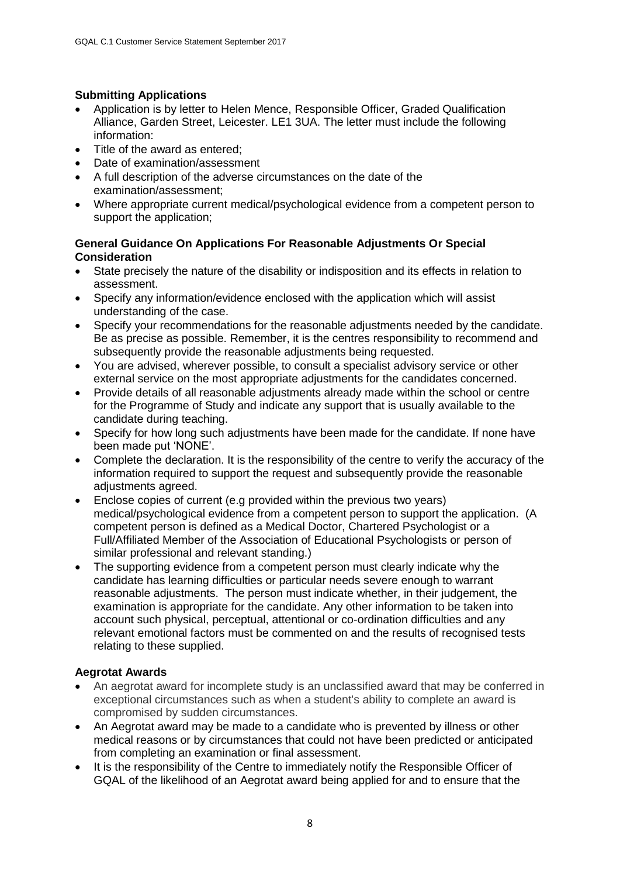### **Submitting Applications**

- Application is by letter to Helen Mence, Responsible Officer, Graded Qualification Alliance, Garden Street, Leicester. LE1 3UA. The letter must include the following information:
- Title of the award as entered;
- Date of examination/assessment
- A full description of the adverse circumstances on the date of the examination/assessment;
- Where appropriate current medical/psychological evidence from a competent person to support the application;

### **General Guidance On Applications For Reasonable Adjustments Or Special Consideration**

- State precisely the nature of the disability or indisposition and its effects in relation to assessment.
- Specify any information/evidence enclosed with the application which will assist understanding of the case.
- Specify your recommendations for the reasonable adjustments needed by the candidate. Be as precise as possible. Remember, it is the centres responsibility to recommend and subsequently provide the reasonable adjustments being requested.
- You are advised, wherever possible, to consult a specialist advisory service or other external service on the most appropriate adjustments for the candidates concerned.
- Provide details of all reasonable adjustments already made within the school or centre for the Programme of Study and indicate any support that is usually available to the candidate during teaching.
- Specify for how long such adjustments have been made for the candidate. If none have been made put 'NONE'.
- Complete the declaration. It is the responsibility of the centre to verify the accuracy of the information required to support the request and subsequently provide the reasonable adiustments agreed.
- Enclose copies of current (e.g provided within the previous two years) medical/psychological evidence from a competent person to support the application. (A competent person is defined as a Medical Doctor, Chartered Psychologist or a Full/Affiliated Member of the Association of Educational Psychologists or person of similar professional and relevant standing.)
- The supporting evidence from a competent person must clearly indicate why the candidate has learning difficulties or particular needs severe enough to warrant reasonable adjustments. The person must indicate whether, in their judgement, the examination is appropriate for the candidate. Any other information to be taken into account such physical, perceptual, attentional or co-ordination difficulties and any relevant emotional factors must be commented on and the results of recognised tests relating to these supplied.

# **Aegrotat Awards**

- An aegrotat award for incomplete study is an unclassified award that may be conferred in exceptional circumstances such as when a student's ability to complete an award is compromised by sudden circumstances.
- An Aegrotat award may be made to a candidate who is prevented by illness or other medical reasons or by circumstances that could not have been predicted or anticipated from completing an examination or final assessment.
- It is the responsibility of the Centre to immediately notify the Responsible Officer of GQAL of the likelihood of an Aegrotat award being applied for and to ensure that the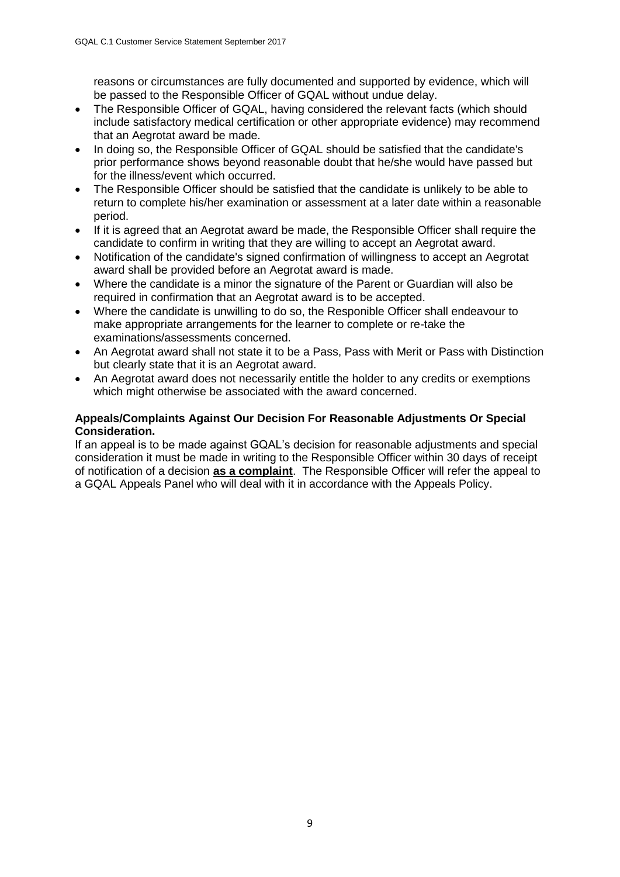reasons or circumstances are fully documented and supported by evidence, which will be passed to the Responsible Officer of GQAL without undue delay.

- The Responsible Officer of GQAL, having considered the relevant facts (which should include satisfactory medical certification or other appropriate evidence) may recommend that an Aegrotat award be made.
- In doing so, the Responsible Officer of GQAL should be satisfied that the candidate's prior performance shows beyond reasonable doubt that he/she would have passed but for the illness/event which occurred.
- The Responsible Officer should be satisfied that the candidate is unlikely to be able to return to complete his/her examination or assessment at a later date within a reasonable period.
- If it is agreed that an Aegrotat award be made, the Responsible Officer shall require the candidate to confirm in writing that they are willing to accept an Aegrotat award.
- Notification of the candidate's signed confirmation of willingness to accept an Aegrotat award shall be provided before an Aegrotat award is made.
- Where the candidate is a minor the signature of the Parent or Guardian will also be required in confirmation that an Aegrotat award is to be accepted.
- Where the candidate is unwilling to do so, the Responible Officer shall endeavour to make appropriate arrangements for the learner to complete or re-take the examinations/assessments concerned.
- An Aegrotat award shall not state it to be a Pass, Pass with Merit or Pass with Distinction but clearly state that it is an Aegrotat award.
- An Aegrotat award does not necessarily entitle the holder to any credits or exemptions which might otherwise be associated with the award concerned.

### **Appeals/Complaints Against Our Decision For Reasonable Adjustments Or Special Consideration.**

If an appeal is to be made against GQAL's decision for reasonable adjustments and special consideration it must be made in writing to the Responsible Officer within 30 days of receipt of notification of a decision **as a complaint**. The Responsible Officer will refer the appeal to a GQAL Appeals Panel who will deal with it in accordance with the Appeals Policy.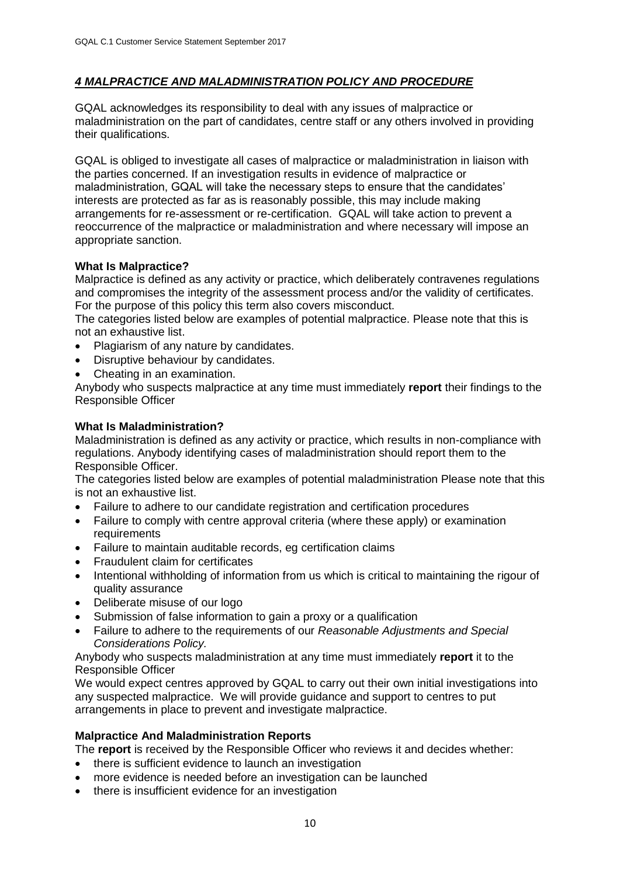### *4 MALPRACTICE AND MALADMINISTRATION POLICY AND PROCEDURE*

GQAL acknowledges its responsibility to deal with any issues of malpractice or maladministration on the part of candidates, centre staff or any others involved in providing their qualifications.

GQAL is obliged to investigate all cases of malpractice or maladministration in liaison with the parties concerned. If an investigation results in evidence of malpractice or maladministration, GQAL will take the necessary steps to ensure that the candidates' interests are protected as far as is reasonably possible, this may include making arrangements for re-assessment or re-certification. GQAL will take action to prevent a reoccurrence of the malpractice or maladministration and where necessary will impose an appropriate sanction.

### **What Is Malpractice?**

Malpractice is defined as any activity or practice, which deliberately contravenes regulations and compromises the integrity of the assessment process and/or the validity of certificates. For the purpose of this policy this term also covers misconduct.

The categories listed below are examples of potential malpractice. Please note that this is not an exhaustive list.

- Plagiarism of any nature by candidates.
- Disruptive behaviour by candidates.
- Cheating in an examination.

Anybody who suspects malpractice at any time must immediately **report** their findings to the Responsible Officer

### **What Is Maladministration?**

Maladministration is defined as any activity or practice, which results in non-compliance with regulations. Anybody identifying cases of maladministration should report them to the Responsible Officer.

The categories listed below are examples of potential maladministration Please note that this is not an exhaustive list.

- Failure to adhere to our candidate registration and certification procedures
- Failure to comply with centre approval criteria (where these apply) or examination requirements
- Failure to maintain auditable records, eg certification claims
- Fraudulent claim for certificates
- Intentional withholding of information from us which is critical to maintaining the rigour of quality assurance
- Deliberate misuse of our logo
- Submission of false information to gain a proxy or a qualification
- Failure to adhere to the requirements of our *Reasonable Adjustments and Special Considerations Policy.*

Anybody who suspects maladministration at any time must immediately **report** it to the Responsible Officer

We would expect centres approved by GQAL to carry out their own initial investigations into any suspected malpractice. We will provide guidance and support to centres to put arrangements in place to prevent and investigate malpractice.

#### **Malpractice And Maladministration Reports**

The **report** is received by the Responsible Officer who reviews it and decides whether:

- there is sufficient evidence to launch an investigation
- more evidence is needed before an investigation can be launched
- there is insufficient evidence for an investigation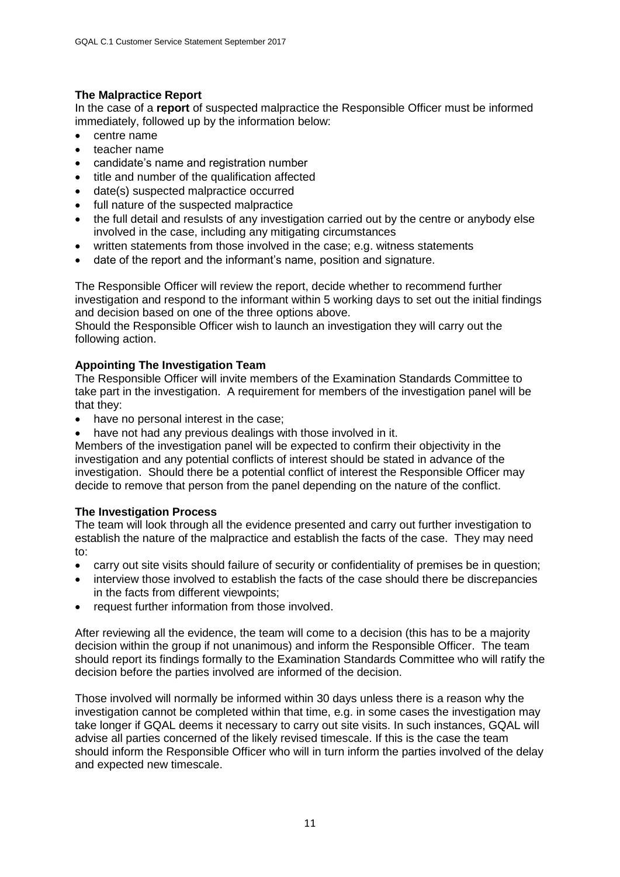# **The Malpractice Report**

In the case of a **report** of suspected malpractice the Responsible Officer must be informed immediately, followed up by the information below:

- centre name
- teacher name
- candidate's name and registration number
- title and number of the qualification affected
- date(s) suspected malpractice occurred
- full nature of the suspected malpractice
- the full detail and resulsts of any investigation carried out by the centre or anybody else involved in the case, including any mitigating circumstances
- written statements from those involved in the case; e.g. witness statements
- date of the report and the informant's name, position and signature.

The Responsible Officer will review the report, decide whether to recommend further investigation and respond to the informant within 5 working days to set out the initial findings and decision based on one of the three options above.

Should the Responsible Officer wish to launch an investigation they will carry out the following action.

### **Appointing The Investigation Team**

The Responsible Officer will invite members of the Examination Standards Committee to take part in the investigation. A requirement for members of the investigation panel will be that they:

- have no personal interest in the case;
- have not had any previous dealings with those involved in it.

Members of the investigation panel will be expected to confirm their objectivity in the investigation and any potential conflicts of interest should be stated in advance of the investigation. Should there be a potential conflict of interest the Responsible Officer may decide to remove that person from the panel depending on the nature of the conflict.

### **The Investigation Process**

The team will look through all the evidence presented and carry out further investigation to establish the nature of the malpractice and establish the facts of the case. They may need to:

- carry out site visits should failure of security or confidentiality of premises be in question;
- interview those involved to establish the facts of the case should there be discrepancies in the facts from different viewpoints;
- request further information from those involved.

After reviewing all the evidence, the team will come to a decision (this has to be a majority decision within the group if not unanimous) and inform the Responsible Officer. The team should report its findings formally to the Examination Standards Committee who will ratify the decision before the parties involved are informed of the decision.

Those involved will normally be informed within 30 days unless there is a reason why the investigation cannot be completed within that time, e.g. in some cases the investigation may take longer if GQAL deems it necessary to carry out site visits. In such instances, GQAL will advise all parties concerned of the likely revised timescale. If this is the case the team should inform the Responsible Officer who will in turn inform the parties involved of the delay and expected new timescale.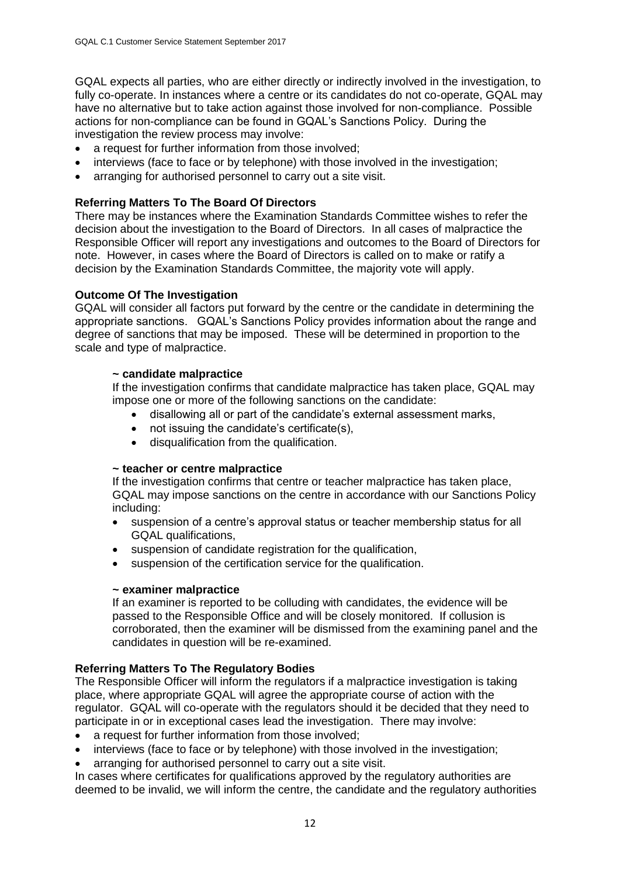GQAL expects all parties, who are either directly or indirectly involved in the investigation, to fully co-operate. In instances where a centre or its candidates do not co-operate, GQAL may have no alternative but to take action against those involved for non-compliance. Possible actions for non-compliance can be found in GQAL's Sanctions Policy. During the investigation the review process may involve:

- a request for further information from those involved;
- interviews (face to face or by telephone) with those involved in the investigation;
- arranging for authorised personnel to carry out a site visit.

### **Referring Matters To The Board Of Directors**

There may be instances where the Examination Standards Committee wishes to refer the decision about the investigation to the Board of Directors. In all cases of malpractice the Responsible Officer will report any investigations and outcomes to the Board of Directors for note. However, in cases where the Board of Directors is called on to make or ratify a decision by the Examination Standards Committee, the majority vote will apply.

### **Outcome Of The Investigation**

GQAL will consider all factors put forward by the centre or the candidate in determining the appropriate sanctions. GQAL's Sanctions Policy provides information about the range and degree of sanctions that may be imposed. These will be determined in proportion to the scale and type of malpractice.

#### **~ candidate malpractice**

If the investigation confirms that candidate malpractice has taken place, GQAL may impose one or more of the following sanctions on the candidate:

- disallowing all or part of the candidate's external assessment marks,
- not issuing the candidate's certificate(s),
- disqualification from the qualification.

#### **~ teacher or centre malpractice**

If the investigation confirms that centre or teacher malpractice has taken place, GQAL may impose sanctions on the centre in accordance with our Sanctions Policy including:

- suspension of a centre's approval status or teacher membership status for all GQAL qualifications,
- suspension of candidate registration for the qualification,
- suspension of the certification service for the qualification.

#### **~ examiner malpractice**

If an examiner is reported to be colluding with candidates, the evidence will be passed to the Responsible Office and will be closely monitored. If collusion is corroborated, then the examiner will be dismissed from the examining panel and the candidates in question will be re-examined.

### **Referring Matters To The Regulatory Bodies**

The Responsible Officer will inform the regulators if a malpractice investigation is taking place, where appropriate GQAL will agree the appropriate course of action with the regulator. GQAL will co-operate with the regulators should it be decided that they need to participate in or in exceptional cases lead the investigation. There may involve:

- a request for further information from those involved;
- interviews (face to face or by telephone) with those involved in the investigation;
- arranging for authorised personnel to carry out a site visit.

In cases where certificates for qualifications approved by the regulatory authorities are deemed to be invalid, we will inform the centre, the candidate and the regulatory authorities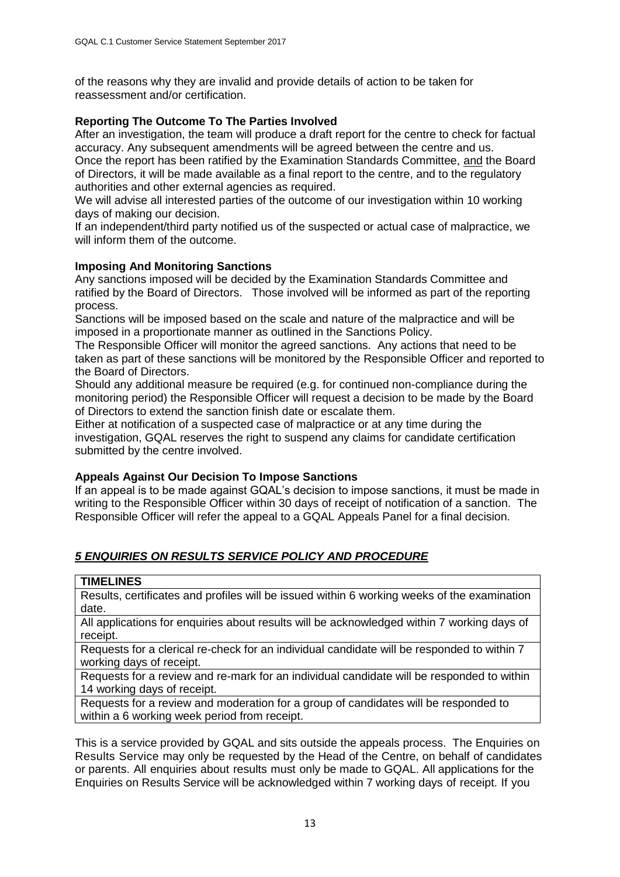of the reasons why they are invalid and provide details of action to be taken for reassessment and/or certification.

### **Reporting The Outcome To The Parties Involved**

After an investigation, the team will produce a draft report for the centre to check for factual accuracy. Any subsequent amendments will be agreed between the centre and us. Once the report has been ratified by the Examination Standards Committee, and the Board of Directors, it will be made available as a final report to the centre, and to the regulatory authorities and other external agencies as required.

We will advise all interested parties of the outcome of our investigation within 10 working days of making our decision.

If an independent/third party notified us of the suspected or actual case of malpractice, we will inform them of the outcome.

### **Imposing And Monitoring Sanctions**

Any sanctions imposed will be decided by the Examination Standards Committee and ratified by the Board of Directors. Those involved will be informed as part of the reporting process.

Sanctions will be imposed based on the scale and nature of the malpractice and will be imposed in a proportionate manner as outlined in the Sanctions Policy.

The Responsible Officer will monitor the agreed sanctions. Any actions that need to be taken as part of these sanctions will be monitored by the Responsible Officer and reported to the Board of Directors.

Should any additional measure be required (e.g. for continued non-compliance during the monitoring period) the Responsible Officer will request a decision to be made by the Board of Directors to extend the sanction finish date or escalate them.

Either at notification of a suspected case of malpractice or at any time during the investigation, GQAL reserves the right to suspend any claims for candidate certification submitted by the centre involved.

### **Appeals Against Our Decision To Impose Sanctions**

If an appeal is to be made against GQAL's decision to impose sanctions, it must be made in writing to the Responsible Officer within 30 days of receipt of notification of a sanction. The Responsible Officer will refer the appeal to a GQAL Appeals Panel for a final decision.

# *5 ENQUIRIES ON RESULTS SERVICE POLICY AND PROCEDURE*

Results, certificates and profiles will be issued within 6 working weeks of the examination date.

All applications for enquiries about results will be acknowledged within 7 working days of receipt.

Requests for a clerical re-check for an individual candidate will be responded to within 7 working days of receipt.

Requests for a review and re-mark for an individual candidate will be responded to within 14 working days of receipt.

Requests for a review and moderation for a group of candidates will be responded to within a 6 working week period from receipt.

This is a service provided by GQAL and sits outside the appeals process. The Enquiries on Results Service may only be requested by the Head of the Centre, on behalf of candidates or parents. All enquiries about results must only be made to GQAL. All applications for the Enquiries on Results Service will be acknowledged within 7 working days of receipt. If you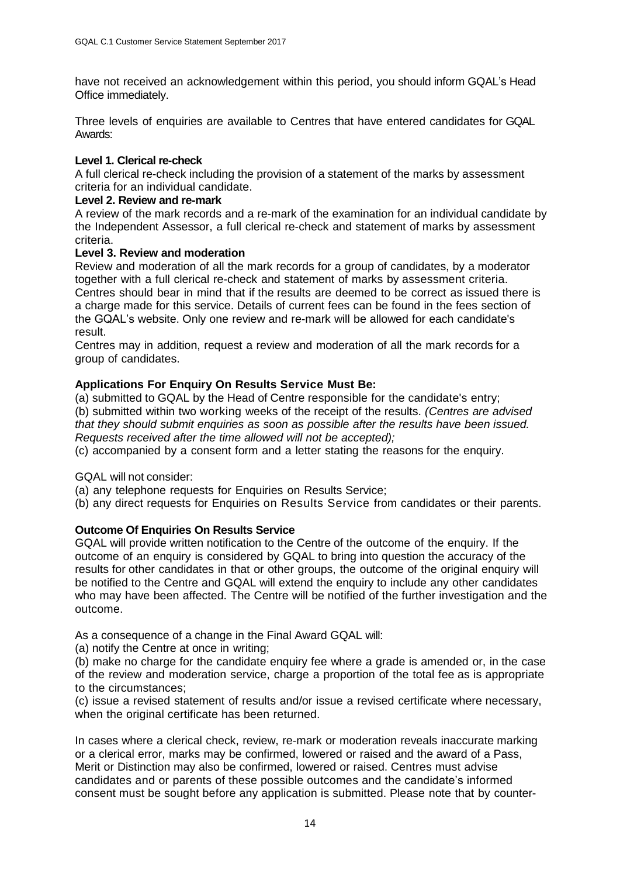have not received an acknowledgement within this period, you should inform GQAL's Head Office immediately.

Three levels of enquiries are available to Centres that have entered candidates for GQAL Awards:

#### **Level 1. Clerical re-check**

A full clerical re-check including the provision of a statement of the marks by assessment criteria for an individual candidate.

### **Level 2. Review and re-mark**

A review of the mark records and a re-mark of the examination for an individual candidate by the Independent Assessor, a full clerical re-check and statement of marks by assessment criteria.

#### **Level 3. Review and moderation**

Review and moderation of all the mark records for a group of candidates, by a moderator together with a full clerical re-check and statement of marks by assessment criteria. Centres should bear in mind that if the results are deemed to be correct as issued there is a charge made for this service. Details of current fees can be found in the fees section of the GQAL's website. Only one review and re-mark will be allowed for each candidate's result.

Centres may in addition, request a review and moderation of all the mark records for a group of candidates.

### **Applications For Enquiry On Results Service Must Be:**

(a) submitted to GQAL by the Head of Centre responsible for the candidate's entry;

(b) submitted within two working weeks of the receipt of the results. *(Centres are advised that they should submit enquiries as soon as possible after the results have been issued. Requests received after the time allowed will not be accepted);*

(c) accompanied by a consent form and a letter stating the reasons for the enquiry.

GQAL will not consider:

(a) any telephone requests for Enquiries on Results Service;

(b) any direct requests for Enquiries on Results Service from candidates or their parents.

### **Outcome Of Enquiries On Results Service**

GQAL will provide written notification to the Centre of the outcome of the enquiry. If the outcome of an enquiry is considered by GQAL to bring into question the accuracy of the results for other candidates in that or other groups, the outcome of the original enquiry will be notified to the Centre and GQAL will extend the enquiry to include any other candidates who may have been affected. The Centre will be notified of the further investigation and the outcome.

As a consequence of a change in the Final Award GQAL will:

(a) notify the Centre at once in writing;

(b) make no charge for the candidate enquiry fee where a grade is amended or, in the case of the review and moderation service, charge a proportion of the total fee as is appropriate to the circumstances;

(c) issue a revised statement of results and/or issue a revised certificate where necessary, when the original certificate has been returned.

In cases where a clerical check, review, re-mark or moderation reveals inaccurate marking or a clerical error, marks may be confirmed, lowered or raised and the award of a Pass, Merit or Distinction may also be confirmed, lowered or raised. Centres must advise candidates and or parents of these possible outcomes and the candidate's informed consent must be sought before any application is submitted. Please note that by counter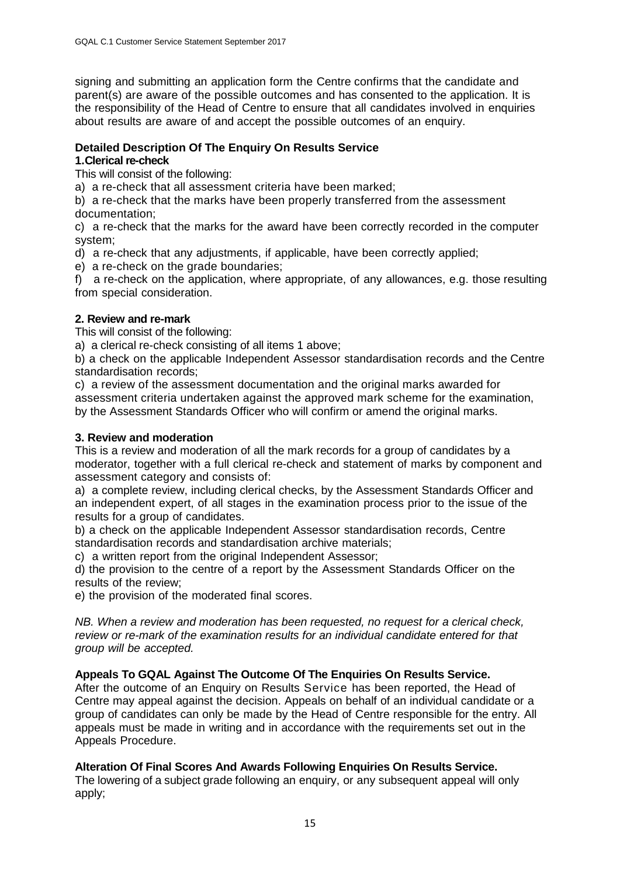signing and submitting an application form the Centre confirms that the candidate and parent(s) are aware of the possible outcomes and has consented to the application. It is the responsibility of the Head of Centre to ensure that all candidates involved in enquiries about results are aware of and accept the possible outcomes of an enquiry.

# **Detailed Description Of The Enquiry On Results Service**

### **1.Clerical re-check**

This will consist of the following:

a) a re-check that all assessment criteria have been marked;

b) a re-check that the marks have been properly transferred from the assessment documentation;

c) a re-check that the marks for the award have been correctly recorded in the computer system;

d) a re-check that any adjustments, if applicable, have been correctly applied;

e) a re-check on the grade boundaries;

f) a re-check on the application, where appropriate, of any allowances, e.g. those resulting from special consideration.

### **2. Review and re-mark**

This will consist of the following:

a) a clerical re-check consisting of all items 1 above;

b) a check on the applicable Independent Assessor standardisation records and the Centre standardisation records;

c) a review of the assessment documentation and the original marks awarded for assessment criteria undertaken against the approved mark scheme for the examination, by the Assessment Standards Officer who will confirm or amend the original marks.

### **3. Review and moderation**

This is a review and moderation of all the mark records for a group of candidates by a moderator, together with a full clerical re-check and statement of marks by component and assessment category and consists of:

a) a complete review, including clerical checks, by the Assessment Standards Officer and an independent expert, of all stages in the examination process prior to the issue of the results for a group of candidates.

b) a check on the applicable Independent Assessor standardisation records, Centre standardisation records and standardisation archive materials;

c) a written report from the original Independent Assessor;

d) the provision to the centre of a report by the Assessment Standards Officer on the results of the review;

e) the provision of the moderated final scores.

*NB. When a review and moderation has been requested, no request for a clerical check, review or re-mark of the examination results for an individual candidate entered for that group will be accepted.*

# **Appeals To GQAL Against The Outcome Of The Enquiries On Results Service.**

After the outcome of an Enquiry on Results Service has been reported, the Head of Centre may appeal against the decision. Appeals on behalf of an individual candidate or a group of candidates can only be made by the Head of Centre responsible for the entry. All appeals must be made in writing and in accordance with the requirements set out in the Appeals Procedure.

# **Alteration Of Final Scores And Awards Following Enquiries On Results Service.**

The lowering of a subject grade following an enquiry, or any subsequent appeal will only apply;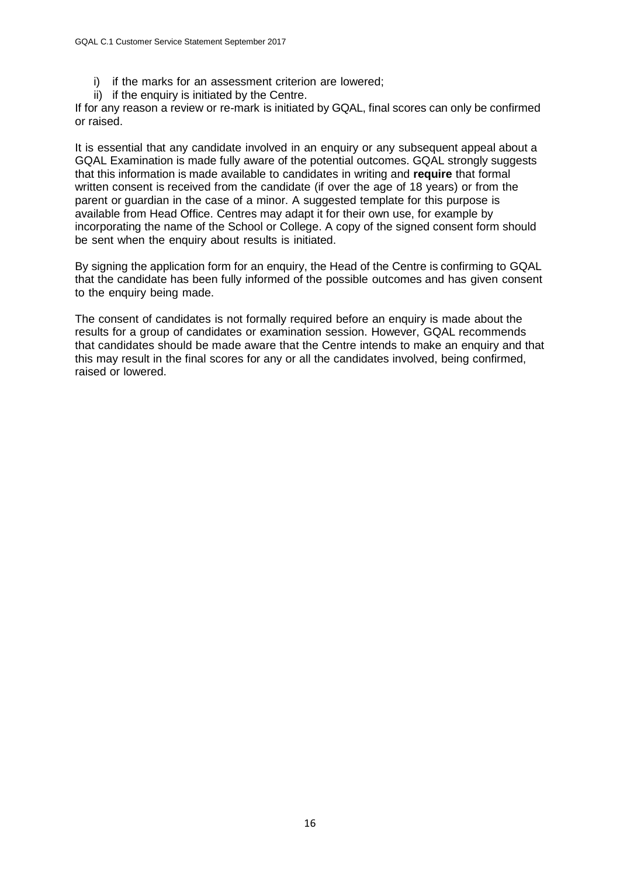- i) if the marks for an assessment criterion are lowered;
- ii) if the enquiry is initiated by the Centre.

If for any reason a review or re-mark is initiated by GQAL, final scores can only be confirmed or raised.

It is essential that any candidate involved in an enquiry or any subsequent appeal about a GQAL Examination is made fully aware of the potential outcomes. GQAL strongly suggests that this information is made available to candidates in writing and **require** that formal written consent is received from the candidate (if over the age of 18 years) or from the parent or guardian in the case of a minor. A suggested template for this purpose is available from Head Office. Centres may adapt it for their own use, for example by incorporating the name of the School or College. A copy of the signed consent form should be sent when the enquiry about results is initiated.

By signing the application form for an enquiry, the Head of the Centre is confirming to GQAL that the candidate has been fully informed of the possible outcomes and has given consent to the enquiry being made.

The consent of candidates is not formally required before an enquiry is made about the results for a group of candidates or examination session. However, GQAL recommends that candidates should be made aware that the Centre intends to make an enquiry and that this may result in the final scores for any or all the candidates involved, being confirmed, raised or lowered.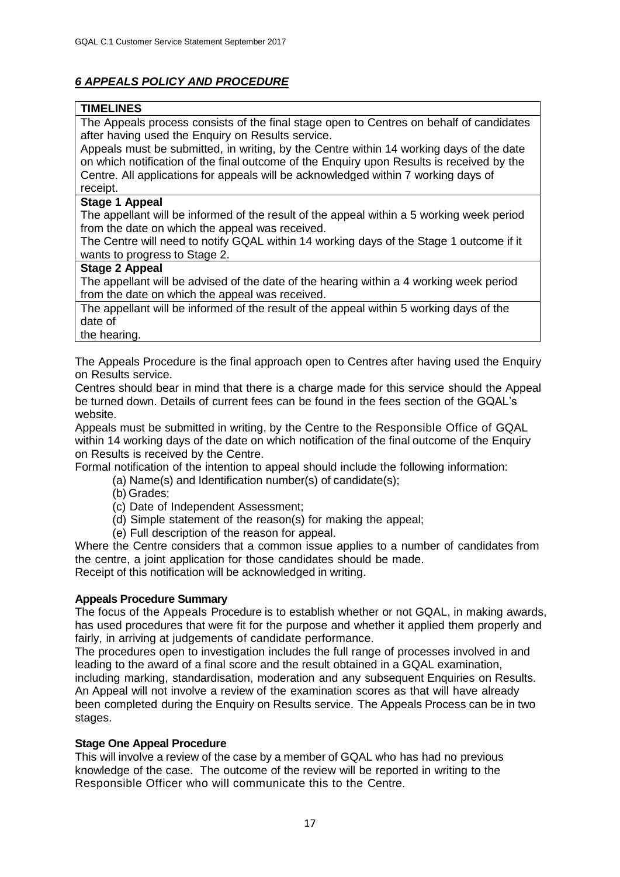# *6 APPEALS POLICY AND PROCEDURE*

# **TIMELINES**

The Appeals process consists of the final stage open to Centres on behalf of candidates after having used the Enquiry on Results service.

Appeals must be submitted, in writing, by the Centre within 14 working days of the date on which notification of the final outcome of the Enquiry upon Results is received by the Centre. All applications for appeals will be acknowledged within 7 working days of receipt.

### **Stage 1 Appeal**

The appellant will be informed of the result of the appeal within a 5 working week period from the date on which the appeal was received.

The Centre will need to notify GQAL within 14 working days of the Stage 1 outcome if it wants to progress to Stage 2.

# **Stage 2 Appeal**

The appellant will be advised of the date of the hearing within a 4 working week period from the date on which the appeal was received.

The appellant will be informed of the result of the appeal within 5 working days of the date of

the hearing.

The Appeals Procedure is the final approach open to Centres after having used the Enquiry on Results service.

Centres should bear in mind that there is a charge made for this service should the Appeal be turned down. Details of current fees can be found in the fees section of the GQAL's website.

Appeals must be submitted in writing, by the Centre to the Responsible Office of GQAL within 14 working days of the date on which notification of the final outcome of the Enquiry on Results is received by the Centre.

Formal notification of the intention to appeal should include the following information:

(a) Name(s) and Identification number(s) of candidate(s);

- (b) Grades;
- (c) Date of Independent Assessment;
- (d) Simple statement of the reason(s) for making the appeal;
- (e) Full description of the reason for appeal.

Where the Centre considers that a common issue applies to a number of candidates from the centre, a joint application for those candidates should be made.

Receipt of this notification will be acknowledged in writing.

# **Appeals Procedure Summary**

The focus of the Appeals Procedure is to establish whether or not GQAL, in making awards, has used procedures that were fit for the purpose and whether it applied them properly and fairly, in arriving at judgements of candidate performance.

The procedures open to investigation includes the full range of processes involved in and leading to the award of a final score and the result obtained in a GQAL examination, including marking, standardisation, moderation and any subsequent Enquiries on Results. An Appeal will not involve a review of the examination scores as that will have already been completed during the Enquiry on Results service. The Appeals Process can be in two stages.

# **Stage One Appeal Procedure**

This will involve a review of the case by a member of GQAL who has had no previous knowledge of the case. The outcome of the review will be reported in writing to the Responsible Officer who will communicate this to the Centre.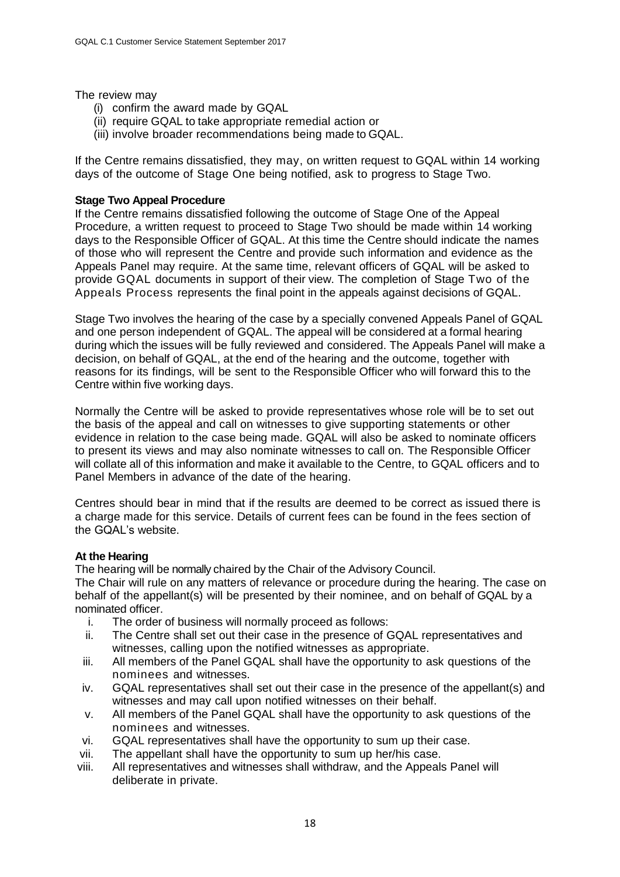### The review may

- (i) confirm the award made by GQAL
- (ii) require GQAL to take appropriate remedial action or
- (iii) involve broader recommendations being made to GQAL.

If the Centre remains dissatisfied, they may, on written request to GQAL within 14 working days of the outcome of Stage One being notified, ask to progress to Stage Two.

#### **Stage Two Appeal Procedure**

If the Centre remains dissatisfied following the outcome of Stage One of the Appeal Procedure, a written request to proceed to Stage Two should be made within 14 working days to the Responsible Officer of GQAL. At this time the Centre should indicate the names of those who will represent the Centre and provide such information and evidence as the Appeals Panel may require. At the same time, relevant officers of GQAL will be asked to provide GQAL documents in support of their view. The completion of Stage Two of the Appeals Process represents the final point in the appeals against decisions of GQAL.

Stage Two involves the hearing of the case by a specially convened Appeals Panel of GQAL and one person independent of GQAL. The appeal will be considered at a formal hearing during which the issues will be fully reviewed and considered. The Appeals Panel will make a decision, on behalf of GQAL, at the end of the hearing and the outcome, together with reasons for its findings, will be sent to the Responsible Officer who will forward this to the Centre within five working days.

Normally the Centre will be asked to provide representatives whose role will be to set out the basis of the appeal and call on witnesses to give supporting statements or other evidence in relation to the case being made. GQAL will also be asked to nominate officers to present its views and may also nominate witnesses to call on. The Responsible Officer will collate all of this information and make it available to the Centre, to GQAL officers and to Panel Members in advance of the date of the hearing.

Centres should bear in mind that if the results are deemed to be correct as issued there is a charge made for this service. Details of current fees can be found in the fees section of the GQAL's website.

#### **At the Hearing**

The hearing will be normally chaired by the Chair of the Advisory Council.

The Chair will rule on any matters of relevance or procedure during the hearing. The case on behalf of the appellant(s) will be presented by their nominee, and on behalf of GQAL by a nominated officer.

- i. The order of business will normally proceed as follows:
- ii. The Centre shall set out their case in the presence of GQAL representatives and witnesses, calling upon the notified witnesses as appropriate.
- iii. All members of the Panel GQAL shall have the opportunity to ask questions of the nominees and witnesses.
- iv. GQAL representatives shall set out their case in the presence of the appellant(s) and witnesses and may call upon notified witnesses on their behalf.
- v. All members of the Panel GQAL shall have the opportunity to ask questions of the nominees and witnesses.
- vi. GQAL representatives shall have the opportunity to sum up their case.
- vii. The appellant shall have the opportunity to sum up her/his case.
- viii. All representatives and witnesses shall withdraw, and the Appeals Panel will deliberate in private.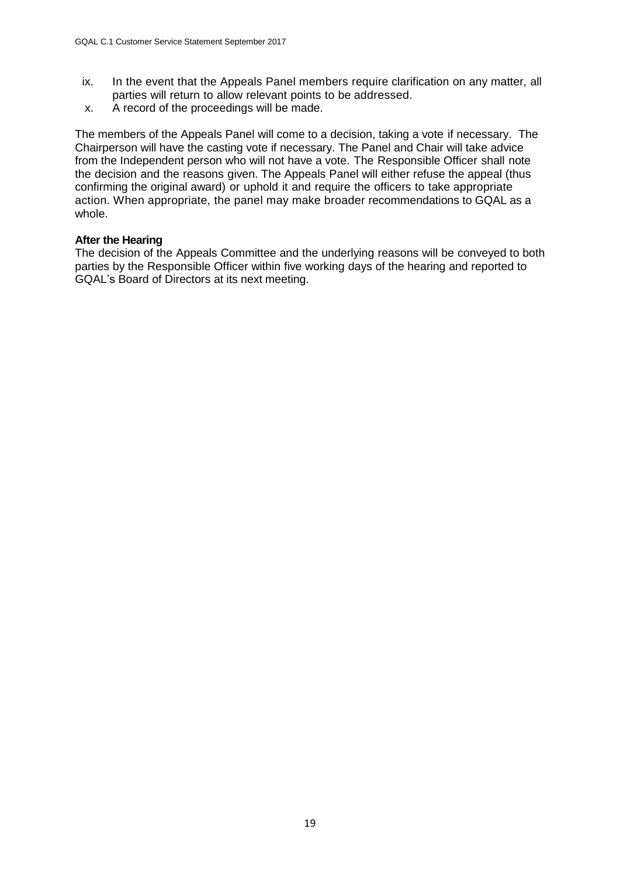- ix. In the event that the Appeals Panel members require clarification on any matter, all parties will return to allow relevant points to be addressed.
- x. A record of the proceedings will be made.

The members of the Appeals Panel will come to a decision, taking a vote if necessary. The Chairperson will have the casting vote if necessary. The Panel and Chair will take advice from the Independent person who will not have a vote. The Responsible Officer shall note the decision and the reasons given. The Appeals Panel will either refuse the appeal (thus confirming the original award) or uphold it and require the officers to take appropriate action. When appropriate, the panel may make broader recommendations to GQAL as a whole.

#### **After the Hearing**

The decision of the Appeals Committee and the underlying reasons will be conveyed to both parties by the Responsible Officer within five working days of the hearing and reported to GQAL's Board of Directors at its next meeting.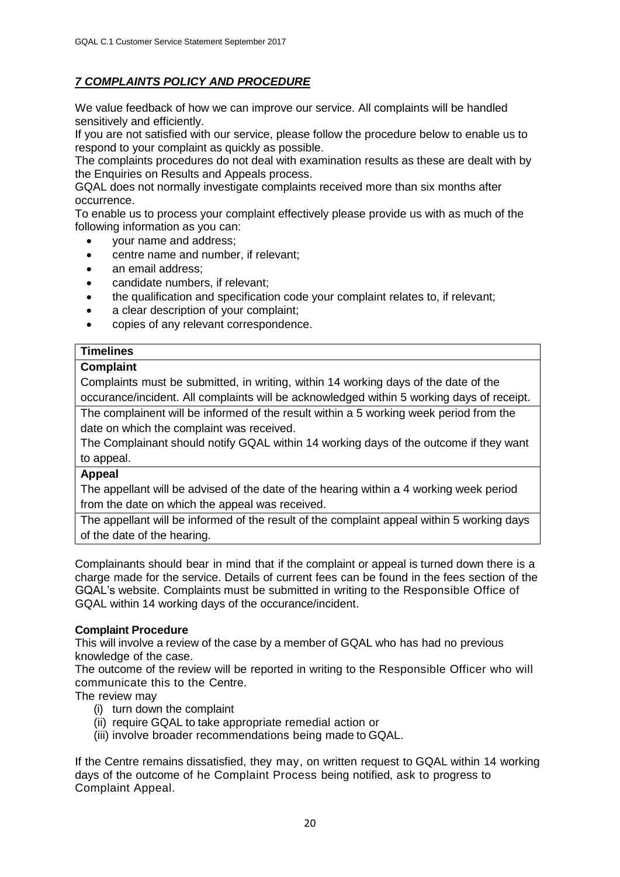# *7 COMPLAINTS POLICY AND PROCEDURE*

We value feedback of how we can improve our service. All complaints will be handled sensitively and efficiently.

If you are not satisfied with our service, please follow the procedure below to enable us to respond to your complaint as quickly as possible.

The complaints procedures do not deal with examination results as these are dealt with by the Enquiries on Results and Appeals process.

GQAL does not normally investigate complaints received more than six months after occurrence.

To enable us to process your complaint effectively please provide us with as much of the following information as you can:

- your name and address;
- centre name and number, if relevant;
- an email address;
- candidate numbers, if relevant;
- the qualification and specification code your complaint relates to, if relevant;
- a clear description of your complaint;
- copies of any relevant correspondence.

### **Timelines**

#### **Complaint**

Complaints must be submitted, in writing, within 14 working days of the date of the occurance/incident. All complaints will be acknowledged within 5 working days of receipt.

The complainent will be informed of the result within a 5 working week period from the date on which the complaint was received.

The Complainant should notify GQAL within 14 working days of the outcome if they want to appeal.

#### **Appeal**

The appellant will be advised of the date of the hearing within a 4 working week period from the date on which the appeal was received.

The appellant will be informed of the result of the complaint appeal within 5 working days of the date of the hearing.

Complainants should bear in mind that if the complaint or appeal is turned down there is a charge made for the service. Details of current fees can be found in the fees section of the GQAL's website. Complaints must be submitted in writing to the Responsible Office of GQAL within 14 working days of the occurance/incident.

#### **Complaint Procedure**

This will involve a review of the case by a member of GQAL who has had no previous knowledge of the case.

The outcome of the review will be reported in writing to the Responsible Officer who will communicate this to the Centre.

#### The review may

- (i) turn down the complaint
- (ii) require GQAL to take appropriate remedial action or
- (iii) involve broader recommendations being made to GQAL.

If the Centre remains dissatisfied, they may, on written request to GQAL within 14 working days of the outcome of he Complaint Process being notified, ask to progress to Complaint Appeal.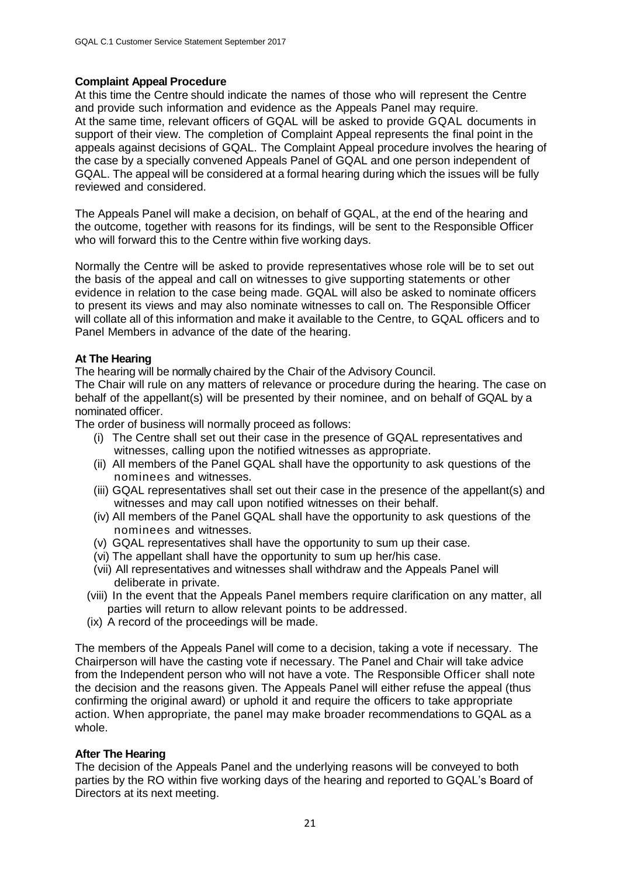### **Complaint Appeal Procedure**

At this time the Centre should indicate the names of those who will represent the Centre and provide such information and evidence as the Appeals Panel may require. At the same time, relevant officers of GQAL will be asked to provide GQAL documents in support of their view. The completion of Complaint Appeal represents the final point in the appeals against decisions of GQAL. The Complaint Appeal procedure involves the hearing of the case by a specially convened Appeals Panel of GQAL and one person independent of GQAL. The appeal will be considered at a formal hearing during which the issues will be fully reviewed and considered.

The Appeals Panel will make a decision, on behalf of GQAL, at the end of the hearing and the outcome, together with reasons for its findings, will be sent to the Responsible Officer who will forward this to the Centre within five working days.

Normally the Centre will be asked to provide representatives whose role will be to set out the basis of the appeal and call on witnesses to give supporting statements or other evidence in relation to the case being made. GQAL will also be asked to nominate officers to present its views and may also nominate witnesses to call on. The Responsible Officer will collate all of this information and make it available to the Centre, to GQAL officers and to Panel Members in advance of the date of the hearing.

### **At The Hearing**

The hearing will be normally chaired by the Chair of the Advisory Council.

The Chair will rule on any matters of relevance or procedure during the hearing. The case on behalf of the appellant(s) will be presented by their nominee, and on behalf of GQAL by a nominated officer.

The order of business will normally proceed as follows:

- (i) The Centre shall set out their case in the presence of GQAL representatives and witnesses, calling upon the notified witnesses as appropriate.
- (ii) All members of the Panel GQAL shall have the opportunity to ask questions of the nominees and witnesses.
- (iii) GQAL representatives shall set out their case in the presence of the appellant(s) and witnesses and may call upon notified witnesses on their behalf.
- (iv) All members of the Panel GQAL shall have the opportunity to ask questions of the nominees and witnesses.
- (v) GQAL representatives shall have the opportunity to sum up their case.
- (vi) The appellant shall have the opportunity to sum up her/his case.
- (vii) All representatives and witnesses shall withdraw and the Appeals Panel will deliberate in private.
- (viii) In the event that the Appeals Panel members require clarification on any matter, all parties will return to allow relevant points to be addressed.
- (ix) A record of the proceedings will be made.

The members of the Appeals Panel will come to a decision, taking a vote if necessary. The Chairperson will have the casting vote if necessary. The Panel and Chair will take advice from the Independent person who will not have a vote. The Responsible Officer shall note the decision and the reasons given. The Appeals Panel will either refuse the appeal (thus confirming the original award) or uphold it and require the officers to take appropriate action. When appropriate, the panel may make broader recommendations to GQAL as a whole.

### **After The Hearing**

The decision of the Appeals Panel and the underlying reasons will be conveyed to both parties by the RO within five working days of the hearing and reported to GQAL's Board of Directors at its next meeting.